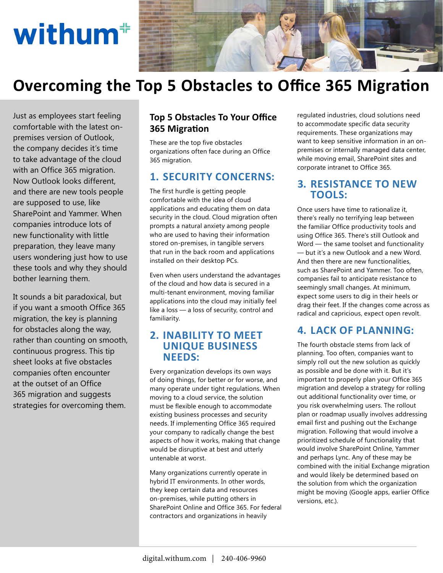# withum<sup></sup>



# **Overcoming the Top 5 Obstacles to Office 365 Migration**

Just as employees start feeling comfortable with the latest onpremises version of Outlook, the company decides it's time to take advantage of the cloud with an Office 365 migration. Now Outlook looks different, and there are new tools people are supposed to use, like SharePoint and Yammer. When companies introduce lots of new functionality with little preparation, they leave many users wondering just how to use these tools and why they should bother learning them.

It sounds a bit paradoxical, but if you want a smooth Office 365 migration, the key is planning for obstacles along the way, rather than counting on smooth, continuous progress. This tip sheet looks at five obstacles companies often encounter at the outset of an Office 365 migration and suggests strategies for overcoming them.

#### **Top 5 Obstacles To Your Office 365 Migration**

These are the top five obstacles organizations often face during an Office 365 migration.

# **1. SECURITY CONCERNS:**

The first hurdle is getting people comfortable with the idea of cloud applications and educating them on data security in the cloud. Cloud migration often prompts a natural anxiety among people who are used to having their information stored on-premises, in tangible servers that run in the back room and applications installed on their desktop PCs.

Even when users understand the advantages of the cloud and how data is secured in a multi-tenant environment, moving familiar applications into the cloud may initially feel like a loss — a loss of security, control and familiarity.

#### **2. INABILITY TO MEET UNIQUE BUSINESS NEEDS:**

Every organization develops its own ways of doing things, for better or for worse, and many operate under tight regulations. When moving to a cloud service, the solution must be flexible enough to accommodate existing business processes and security needs. If implementing Office 365 required your company to radically change the best aspects of how it works, making that change would be disruptive at best and utterly untenable at worst.

Many organizations currently operate in hybrid IT environments. In other words, they keep certain data and resources on-premises, while putting others in SharePoint Online and Office 365. For federal contractors and organizations in heavily

regulated industries, cloud solutions need to accommodate specific data security requirements. These organizations may want to keep sensitive information in an onpremises or internally managed data center, while moving email, SharePoint sites and corporate intranet to Office 365.

## **3. RESISTANCE TO NEW TOOLS:**

Once users have time to rationalize it, there's really no terrifying leap between the familiar Office productivity tools and using Office 365. There's still Outlook and Word — the same toolset and functionality — but it's a new Outlook and a new Word. And then there are new functionalities, such as SharePoint and Yammer. Too often, companies fail to anticipate resistance to seemingly small changes. At minimum, expect some users to dig in their heels or drag their feet. If the changes come across as radical and capricious, expect open revolt.

# **4. LACK OF PLANNING:**

The fourth obstacle stems from lack of planning. Too often, companies want to simply roll out the new solution as quickly as possible and be done with it. But it's important to properly plan your Office 365 migration and develop a strategy for rolling out additional functionality over time, or you risk overwhelming users. The rollout plan or roadmap usually involves addressing email first and pushing out the Exchange migration. Following that would involve a prioritized schedule of functionality that would involve SharePoint Online, Yammer and perhaps Lync. Any of these may be combined with the initial Exchange migration and would likely be determined based on the solution from which the organization might be moving (Google apps, earlier Office versions, etc.).